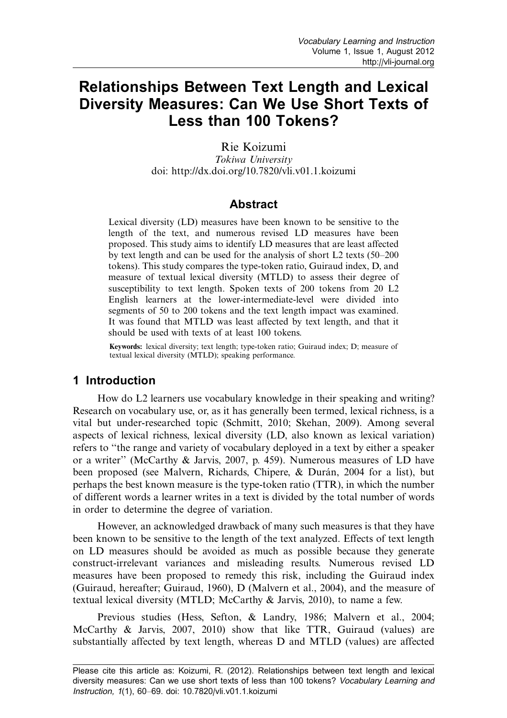# Relationships Between Text Length and Lexical Diversity Measures: Can We Use Short Texts of Less than 100 Tokens?

Rie Koizumi

Tokiwa University doi:<http://dx.doi.org/10.7820/vli.v01.1.koizumi>

### **Abstract**

Lexical diversity (LD) measures have been known to be sensitive to the length of the text, and numerous revised LD measures have been proposed. This study aims to identify LD measures that are least affected by text length and can be used for the analysis of short  $L2$  texts (50–200 tokens). This study compares the type-token ratio, Guiraud index, D, and measure of textual lexical diversity (MTLD) to assess their degree of susceptibility to text length. Spoken texts of 200 tokens from 20 L2 English learners at the lower-intermediate-level were divided into segments of 50 to 200 tokens and the text length impact was examined. It was found that MTLD was least affected by text length, and that it should be used with texts of at least 100 tokens.

Keywords: lexical diversity; text length; type-token ratio; Guiraud index; D; measure of textual lexical diversity (MTLD); speaking performance.

# 1 Introduction

How do L2 learners use vocabulary knowledge in their speaking and writing? Research on vocabulary use, or, as it has generally been termed, lexical richness, is a vital but under-researched topic (Schmitt, [2010](#page-8-0); Skehan, [2009\)](#page-8-0). Among several aspects of lexical richness, lexical diversity (LD, also known as lexical variation) refers to ''the range and variety of vocabulary deployed in a text by either a speaker or a writer'' (McCarthy & Jarvis, 2007, p. 459). Numerous measures of LD have been proposed (see Malvern, Richards, Chipere, & Durán, [2004](#page-8-0) for a list), but perhaps the best known measure is the type-token ratio (TTR), in which the number of different words a learner writes in a text is divided by the total number of words in order to determine the degree of variation.

However, an acknowledged drawback of many such measures is that they have been known to be sensitive to the length of the text analyzed. Effects of text length on LD measures should be avoided as much as possible because they generate construct-irrelevant variances and misleading results. Numerous revised LD measures have been proposed to remedy this risk, including the Guiraud index (Guiraud, hereafter; Guiraud, [1960\)](#page-8-0), D (Malvern et al., [2004](#page-8-0)), and the measure of textual lexical diversity (MTLD; McCarthy & Jarvis, [2010](#page-8-0)), to name a few.

Previous studies (Hess, Sefton, & Landry, [1986](#page-8-0); Malvern et al., [2004;](#page-8-0) McCarthy & Jarvis, 2007, [2010\)](#page-8-0) show that like TTR, Guiraud (values) are substantially affected by text length, whereas D and MTLD (values) are affected

Please cite this article as: Koizumi, R. (2012). Relationships between text length and lexical diversity measures: Can we use short texts of less than 100 tokens? Vocabulary Learning and Instruction, 1(1), 60-69. doi: [10.7820/vli.v01.1.koizumi](http://dx.doi.org/10.7820/vli.v01.1.koizumi)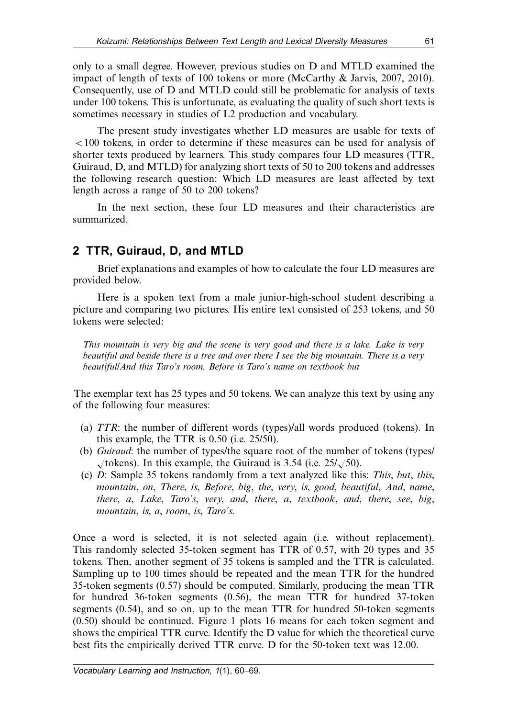only to a small degree. However, previous studies on D and MTLD examined the impact of length of texts of 100 tokens or more (McCarthy & Jarvis, 2007, [2010\)](#page-8-0). Consequently, use of D and MTLD could still be problematic for analysis of texts under 100 tokens. This is unfortunate, as evaluating the quality of such short texts is sometimes necessary in studies of L2 production and vocabulary.

The present study investigates whether LD measures are usable for texts of B100 tokens, in order to determine if these measures can be used for analysis of shorter texts produced by learners. This study compares four LD measures (TTR, Guiraud, D, and MTLD) for analyzing short texts of 50 to 200 tokens and addresses the following research question: Which LD measures are least affected by text length across a range of 50 to 200 tokens?

In the next section, these four LD measures and their characteristics are summarized.

# 2 TTR, Guiraud, D, and MTLD

Brief explanations and examples of how to calculate the four LD measures are provided below.

Here is a spoken text from a male junior-high-school student describing a picture and comparing two pictures. His entire text consisted of 253 tokens, and 50 tokens were selected:

This mountain is very big and the scene is very good and there is a lake. Lake is very beautiful and beside there is a tree and over there I see the big mountain. There is a very beautiful/And this Taro's room. Before is Taro's name on textbook but

The exemplar text has 25 types and 50 tokens. We can analyze this text by using any of the following four measures:

- (a) TTR: the number of different words (types)/all words produced (tokens). In this example, the TTR is 0.50 (i.e. 25/50).
- (b) Guiraud: the number of types/the square root of the number of tokens (types/  $\sqrt{\text{tokens}}$ . In this example, the Guiraud is 3.54 (i.e. 25/ $\sqrt{50}$ ).
- (c) D: Sample 35 tokens randomly from a text analyzed like this: This, but, this, mountain, on, There, is, Before, big, the, very, is, good, beautiful, And, name, there, a, Lake, Taro's, very, and, there, a, textbook, and, there, see, big, mountain, is, a, room, is, Taro's.

Once a word is selected, it is not selected again (i.e. without replacement). This randomly selected 35-token segment has TTR of 0.57, with 20 types and 35 tokens. Then, another segment of 35 tokens is sampled and the TTR is calculated. Sampling up to 100 times should be repeated and the mean TTR for the hundred 35-token segments (0.57) should be computed. Similarly, producing the mean TTR for hundred 36-token segments (0.56), the mean TTR for hundred 37-token segments (0.54), and so on, up to the mean TTR for hundred 50-token segments (0.50) should be continued. Figure 1 plots 16 means for each token segment and shows the empirical TTR curve. Identify the D value for which the theoretical curve best fits the empirically derived TTR curve. D for the 50-token text was 12.00.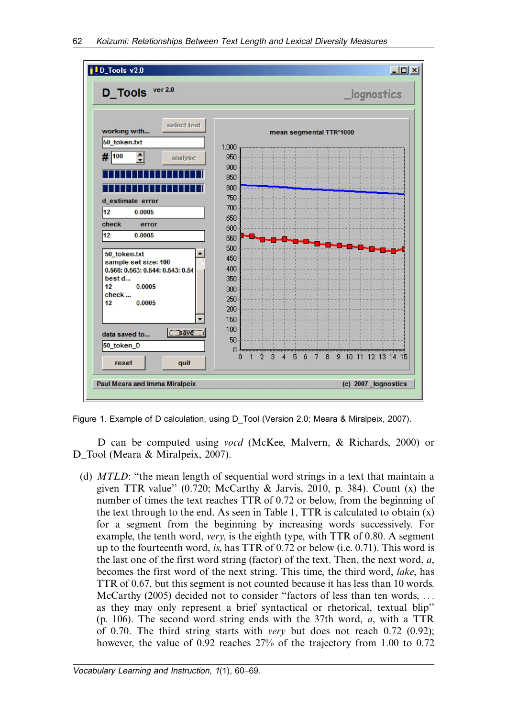

Figure 1.Example of D calculation, using D\_Tool (Version 2.0; Meara & Miralpeix, 2007).

D can be computed using vocd (McKee, Malvern, & Richards, [2000](#page-8-0)) or D Tool (Meara & Miralpeix, [2007](#page-8-0)).

(d) MTLD: ''the mean length of sequential word strings in a text that maintain a given TTR value"  $(0.720; \text{ McCarthy } \& \text{Jarvis, } 2010, \text{ p. } 384)$  $(0.720; \text{ McCarthy } \& \text{Jarvis, } 2010, \text{ p. } 384)$  $(0.720; \text{ McCarthy } \& \text{Jarvis, } 2010, \text{ p. } 384)$ . Count  $(x)$  the number of times the text reaches TTR of 0.72 or below, from the beginning of the text through to the end. As seen in Table 1, TTR is calculated to obtain  $(x)$ for a segment from the beginning by increasing words successively. For example, the tenth word, very, is the eighth type, with TTR of 0.80. A segment up to the fourteenth word, is, has TTR of 0.72 or below (i.e. 0.71). This word is the last one of the first word string (factor) of the text. Then, the next word,  $a$ , becomes the first word of the next string. This time, the third word, lake, has TTR of 0.67, but this segment is not counted because it has less than 10 words. McCarthy ([2005](#page-8-0)) decided not to consider ''factors of less than ten words, ... as they may only represent a brief syntactical or rhetorical, textual blip'' (p. 106). The second word string ends with the 37th word,  $a$ , with a TTR of 0.70. The third string starts with very but does not reach 0.72 (0.92); however, the value of 0.92 reaches 27% of the trajectory from 1.00 to 0.72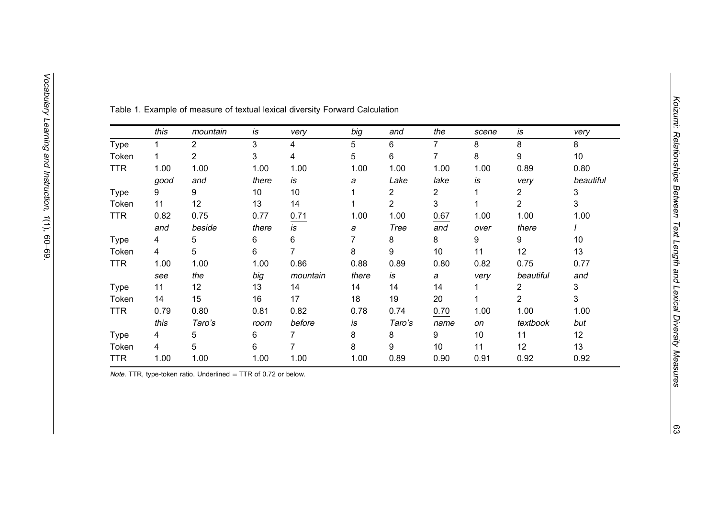|             | this | mountain       | is    | very     | big   | and    | the  | scene | is             | very      |
|-------------|------|----------------|-------|----------|-------|--------|------|-------|----------------|-----------|
| <b>Type</b> |      | $\overline{2}$ | 3     | 4        | 5     | 6      | 7    | 8     | 8              | 8         |
| Token       |      | 2              | 3     | 4        | 5     | 6      | 7    | 8     | 9              | 10        |
| <b>TTR</b>  | 1.00 | 1.00           | 1.00  | 1.00     | 1.00  | 1.00   | 1.00 | 1.00  | 0.89           | 0.80      |
|             | good | and            | there | is       | а     | Lake   | lake | is    | very           | beautiful |
| <b>Type</b> | 9    | 9              | 10    | 10       |       | 2      | 2    |       | 2              | 3         |
| Token       | 11   | 12             | 13    | 14       |       | 2      | 3    |       | 2              | 3         |
| <b>TTR</b>  | 0.82 | 0.75           | 0.77  | 0.71     | 1.00  | 1.00   | 0.67 | 1.00  | 1.00           | 1.00      |
|             | and  | beside         | there | is       | а     | Tree   | and  | over  | there          |           |
| <b>Type</b> | 4    | 5              | 6     | 6        | 7     | 8      | 8    | 9     | 9              | 10        |
| Token       | 4    | 5              | 6     | 7        | 8     | 9      | 10   | 11    | 12             | 13        |
| <b>TTR</b>  | 1.00 | 1.00           | 1.00  | 0.86     | 0.88  | 0.89   | 0.80 | 0.82  | 0.75           | 0.77      |
|             | see  | the            | big   | mountain | there | is     | а    | very  | beautiful      | and       |
| <b>Type</b> | 11   | 12             | 13    | 14       | 14    | 14     | 14   |       | 2              | 3         |
| Token       | 14   | 15             | 16    | 17       | 18    | 19     | 20   |       | $\overline{2}$ | 3         |
| <b>TTR</b>  | 0.79 | 0.80           | 0.81  | 0.82     | 0.78  | 0.74   | 0.70 | 1.00  | 1.00           | 1.00      |
|             | this | Taro's         | room  | before   | is    | Taro's | name | on    | textbook       | but       |
| <b>Type</b> | 4    | 5              | 6     | 7        | 8     | 8      | 9    | 10    | 11             | 12        |
| Token       | 4    | 5              | 6     | 7        | 8     | 9      | 10   | 11    | 12             | 13        |
| <b>TTR</b>  | 1.00 | 1.00           | 1.00  | 1.00     | 1.00  | 0.89   | 0.90 | 0.91  | 0.92           | 0.92      |

Table 1.Example of measure of textual lexical diversity Forward Calculation

Vocabulary

Learning and

Instruction,

1(1), 60-69.

*Note.* TTR, type-token ratio. Underlined = TTR of 0.72 or below.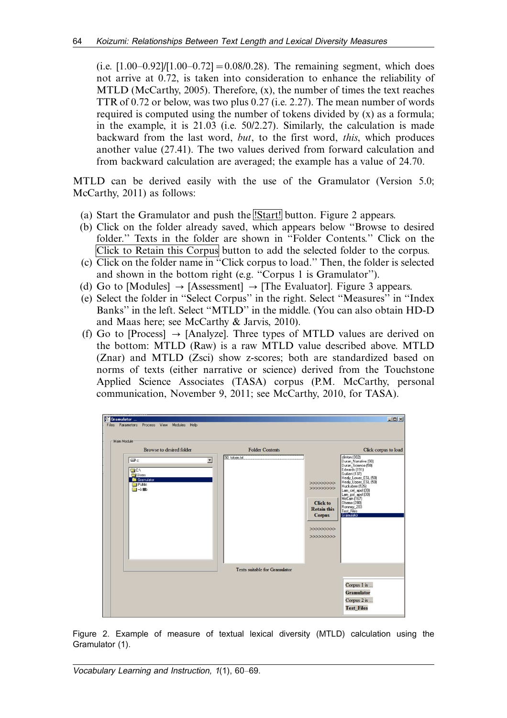(i.e.  $[1.00-0.92]/[1.00-0.72] = 0.08/0.28$ ). The remaining segment, which does not arrive at 0.72, is taken into consideration to enhance the reliability of MTLD (McCarthy, [2005\)](#page-8-0). Therefore,  $(x)$ , the number of times the text reaches TTR of 0.72 or below, was two plus 0.27 (i.e. 2.27). The mean number of words required is computed using the number of tokens divided by (x) as a formula; in the example, it is 21.03 (i.e. 50/2.27). Similarly, the calculation is made backward from the last word, but, to the first word, this, which produces another value (27.41). The two values derived from forward calculation and from backward calculation are averaged; the example has a value of 24.70.

MTLD can be derived easily with the use of the Gramulator (Version 5.0; McCarthy, [2011\)](#page-8-0) as follows:

- (a) Start the Gramulator and push the **IStart!** button. Figure 2 appears.
- (b) Click on the folder already saved, which appears below ''Browse to desired folder.'' Texts in the folder are shown in ''Folder Contents.'' Click on the Click to Retain this Corpus button to add the selected folder to the corpus.
- (c) Click on the folder name in ''Click corpus to load.'' Then, the folder is selected and shown in the bottom right (e.g. ''Corpus 1 is Gramulator'').
- (d) Go to [Modules]  $\rightarrow$  [Assessment]  $\rightarrow$  [The Evaluator]. Figure 3 appears.
- (e) Select the folder in ''Select Corpus'' in the right. Select ''Measures'' in ''Index Banks'' in the left. Select ''MTLD'' in the middle. (You can also obtain HD-D and Maas here; see McCarthy & Jarvis, [2010\)](#page-8-0).
- (f) Go to [Process]  $\rightarrow$  [Analyze]. Three types of MTLD values are derived on the bottom: MTLD (Raw) is a raw MTLD value described above. MTLD (Znar) and MTLD (Zsci) show z-scores; both are standardized based on norms of texts (either narrative or science) derived from the Touchstone Applied Science Associates (TASA) corpus (P.M. McCarthy, personal communication, November 9, 2011; see McCarthy, [2010,](#page-8-0) for TASA).



Figure 2.Example of measure of textual lexical diversity (MTLD) calculation using the Gramulator (1).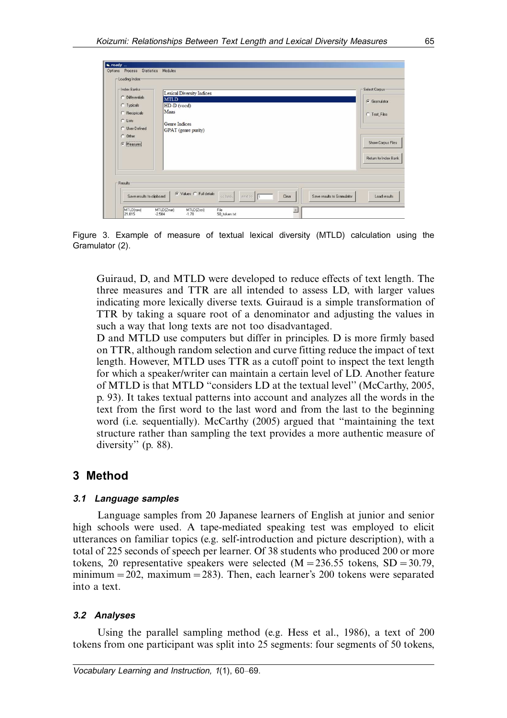| Index Banks<br>$C$ Differentials   | Lexical Diversity Indices<br><b>MTLD</b> | Select Corpus        |
|------------------------------------|------------------------------------------|----------------------|
| C Typicals                         | HD-D (vocd)                              | G Gramulator         |
| C Recipricals                      | Maas                                     | C Test_Files         |
| C Lists                            | Genre Indices                            |                      |
| <b>C</b> User-Defined<br>$C$ Other | GPAT (genre purity)                      |                      |
| G Measures                         |                                          | Show Corpus Files    |
|                                    |                                          | Return to Index Bank |
|                                    |                                          |                      |
| Results                            |                                          |                      |

Figure 3.Example of measure of textual lexical diversity (MTLD) calculation using the Gramulator (2).

Guiraud, D, and MTLD were developed to reduce effects of text length. The three measures and TTR are all intended to assess LD, with larger values indicating more lexically diverse texts. Guiraud is a simple transformation of TTR by taking a square root of a denominator and adjusting the values in such a way that long texts are not too disadvantaged.

D and MTLD use computers but differ in principles. D is more firmly based on TTR, although random selection and curve fitting reduce the impact of text length. However, MTLD uses TTR as a cutoff point to inspect the text length for which a speaker/writer can maintain a certain level of LD. Another feature of MTLD is that MTLD ''considers LD at the textual level'' (McCarthy, [2005,](#page-8-0) p. 93). It takes textual patterns into account and analyzes all the words in the text from the first word to the last word and from the last to the beginning word (i.e. sequentially). McCarthy [\(2005](#page-8-0)) argued that ''maintaining the text structure rather than sampling the text provides a more authentic measure of diversity" (p. 88).

# 3 Method

#### 3.1 Language samples

Language samples from 20 Japanese learners of English at junior and senior high schools were used. A tape-mediated speaking test was employed to elicit utterances on familiar topics (e.g. self-introduction and picture description), with a total of 225 seconds of speech per learner. Of 38 students who produced 200 or more tokens, 20 representative speakers were selected  $(M = 236.55$  tokens,  $SD = 30.79$ , minimum-202, maximum-283). Then, each learner's 200 tokens were separated into a text.

#### 3.2 Analyses

Using the parallel sampling method (e.g. Hess et al., [1986](#page-8-0)), a text of 200 tokens from one participant was split into 25 segments: four segments of 50 tokens,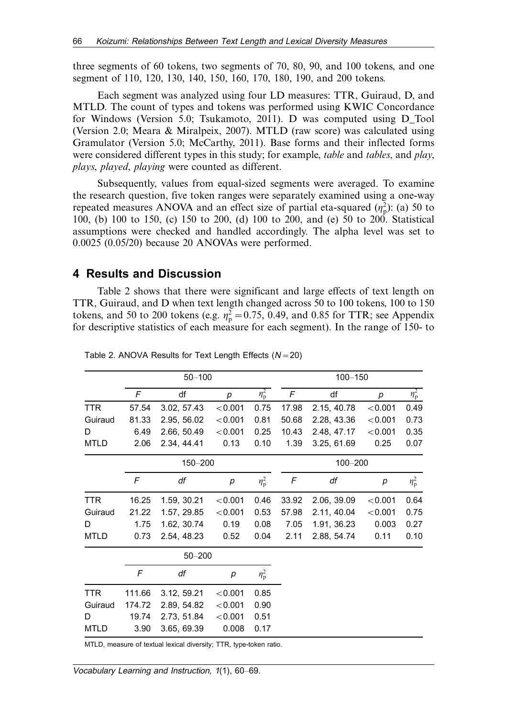three segments of 60 tokens, two segments of 70, 80, 90, and 100 tokens, and one segment of 110, 120, 130, 140, 150, 160, 170, 180, 190, and 200 tokens.

Each segment was analyzed using four LD measures: TTR, Guiraud, D, and MTLD. The count of types and tokens was performed using KWIC Concordance for Windows (Version 5.0; Tsukamoto, [2011](#page-8-0)). D was computed using D\_Tool (Version 2.0; Meara & Miralpeix, [2007\)](#page-8-0). MTLD (raw score) was calculated using Gramulator (Version 5.0; McCarthy, [2011\)](#page-8-0). Base forms and their inflected forms were considered different types in this study; for example, *table* and *tables*, and *play*, plays, played, playing were counted as different.

Subsequently, values from equal-sized segments were averaged. To examine the research question, five token ranges were separately examined using a one-way repeated measures ANOVA and an effect size of partial eta-squared  $(\eta_p^2)$ : (a) 50 to 100, (b) 100 to 150, (c) 150 to 200, (d) 100 to 200, and (e) 50 to 200. Statistical assumptions were checked and handled accordingly. The alpha level was set to 0.0025 (0.05/20) because 20 ANOVAs were performed.

#### 4 Results and Discussion

Table 2 shows that there were significant and large effects of text length on TTR, Guiraud, and D when text length changed across 50 to 100 tokens, 100 to 150 tokens, and 50 to 200 tokens (e.g.  $\eta_p^2 = 0.75$ , 0.49, and 0.85 for TTR; see Appendix for descriptive statistics of each measure for each segment). In the range of 150- to

|             |        | $50 - 100$  |                  | $100 - 150$      |            |             |         |                  |
|-------------|--------|-------------|------------------|------------------|------------|-------------|---------|------------------|
|             | F      | df          | $\boldsymbol{p}$ | $\eta_{\rm p}^2$ | $\digamma$ | df          | p       | $\eta_{\rm p}^2$ |
| <b>TTR</b>  | 57.54  | 3.02, 57.43 | < 0.001          | 0.75             | 17.98      | 2.15, 40.78 | < 0.001 | 0.49             |
| Guiraud     | 81.33  | 2.95, 56.02 | < 0.001          | 0.81             | 50.68      | 2.28, 43.36 | < 0.001 | 0.73             |
| D           | 6.49   | 2.66, 50.49 | < 0.001          | 0.25             | 10.43      | 2.48, 47.17 | < 0.001 | 0.35             |
| <b>MTLD</b> | 2.06   | 2.34, 44.41 | 0.13             | 0.10             | 1.39       | 3.25, 61.69 | 0.25    | 0.07             |
|             |        | 150-200     |                  | $100 - 200$      |            |             |         |                  |
|             | F      | df          | р                | $\eta_{\rm p}^2$ | F          | df          | р       | $\eta_{\rm p}^2$ |
| <b>TTR</b>  | 16.25  | 1.59, 30.21 | < 0.001          | 0.46             | 33.92      | 2.06, 39.09 | < 0.001 | 0.64             |
| Guiraud     | 21.22  | 1.57, 29.85 | < 0.001          | 0.53             | 57.98      | 2.11, 40.04 | < 0.001 | 0.75             |
| D           | 1.75   | 1.62, 30.74 | 0.19             | 0.08             | 7.05       | 1.91, 36.23 | 0.003   | 0.27             |
| <b>MTLD</b> | 0.73   | 2.54, 48.23 | 0.52             | 0.04             | 2.11       | 2.88, 54.74 | 0.11    | 0.10             |
|             |        | $50 - 200$  |                  |                  |            |             |         |                  |
|             | F      | df          | p                | $\eta_{\rm p}^2$ |            |             |         |                  |
| <b>TTR</b>  | 111.66 | 3.12, 59.21 | < 0.001          | 0.85             |            |             |         |                  |
| Guiraud     | 174.72 | 2.89, 54.82 | < 0.001          | 0.90             |            |             |         |                  |
| D           | 19.74  | 2.73, 51.84 | < 0.001          | 0.51             |            |             |         |                  |
| <b>MTLD</b> | 3.90   | 3.65, 69.39 | 0.008            | 0.17             |            |             |         |                  |
|             |        |             |                  |                  |            |             |         |                  |

Table 2. ANOVA Results for Text Length Effects  $(N=20)$ 

MTLD, measure of textual lexical diversity; TTR, type-token ratio.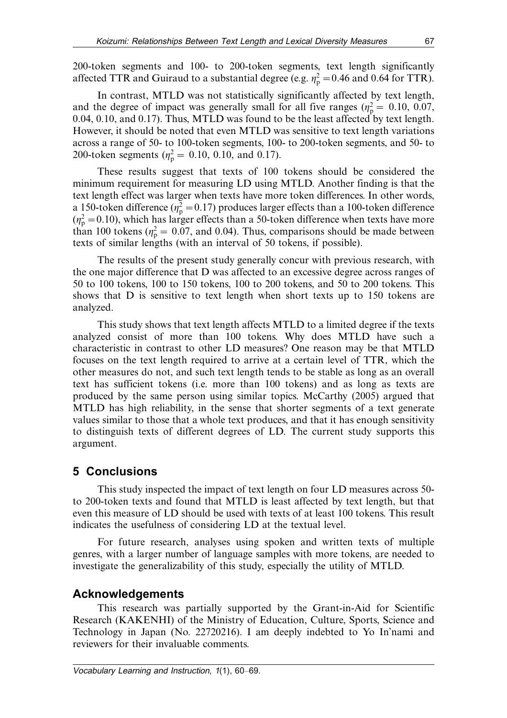200-token segments and 100- to 200-token segments, text length significantly affected TTR and Guiraud to a substantial degree (e.g.  $\eta_p^2 = 0.46$  and 0.64 for TTR).

In contrast, MTLD was not statistically significantly affected by text length, and the degree of impact was generally small for all five ranges ( $\eta_{\rm p}^2 = 0.10, 0.07,$ 0.04, 0.10, and 0.17). Thus, MTLD was found to be the least affected by text length. However, it should be noted that even MTLD was sensitive to text length variations across a range of 50- to 100-token segments, 100- to 200-token segments, and 50- to 200-token segments ( $\eta_{\rm p}^2 = 0.10, 0.10,$  and 0.17).

These results suggest that texts of 100 tokens should be considered the minimum requirement for measuring LD using MTLD. Another finding is that the text length effect was larger when texts have more token differences. In other words, a 150-token difference ( $\eta_p^2 = 0.17$ ) produces larger effects than a 100-token difference  $(\eta_{\rm p}^2 = 0.10)$ , which has larger effects than a 50-token difference when texts have more than 100 tokens ( $\eta_p^2 = 0.07$ , and 0.04). Thus, comparisons should be made between texts of similar lengths (with an interval of 50 tokens, if possible).

The results of the present study generally concur with previous research, with the one major difference that D was affected to an excessive degree across ranges of 50 to 100 tokens, 100 to 150 tokens, 100 to 200 tokens, and 50 to 200 tokens. This shows that D is sensitive to text length when short texts up to 150 tokens are analyzed.

This study shows that text length affects MTLD to a limited degree if the texts analyzed consist of more than 100 tokens. Why does MTLD have such a characteristic in contrast to other LD measures? One reason may be that MTLD focuses on the text length required to arrive at a certain level of TTR, which the other measures do not, and such text length tends to be stable as long as an overall text has sufficient tokens (i.e. more than 100 tokens) and as long as texts are produced by the same person using similar topics. McCarthy ([2005\)](#page-8-0) argued that MTLD has high reliability, in the sense that shorter segments of a text generate values similar to those that a whole text produces, and that it has enough sensitivity to distinguish texts of different degrees of LD. The current study supports this argument.

# 5 Conclusions

This study inspected the impact of text length on four LD measures across 50 to 200-token texts and found that MTLD is least affected by text length, but that even this measure of LD should be used with texts of at least 100 tokens. This result indicates the usefulness of considering LD at the textual level.

For future research, analyses using spoken and written texts of multiple genres, with a larger number of language samples with more tokens, are needed to investigate the generalizability of this study, especially the utility of MTLD.

# Acknowledgements

This research was partially supported by the Grant-in-Aid for Scientific Research (KAKENHI) of the Ministry of Education, Culture, Sports, Science and Technology in Japan (No. 22720216). I am deeply indebted to Yo In'nami and reviewers for their invaluable comments.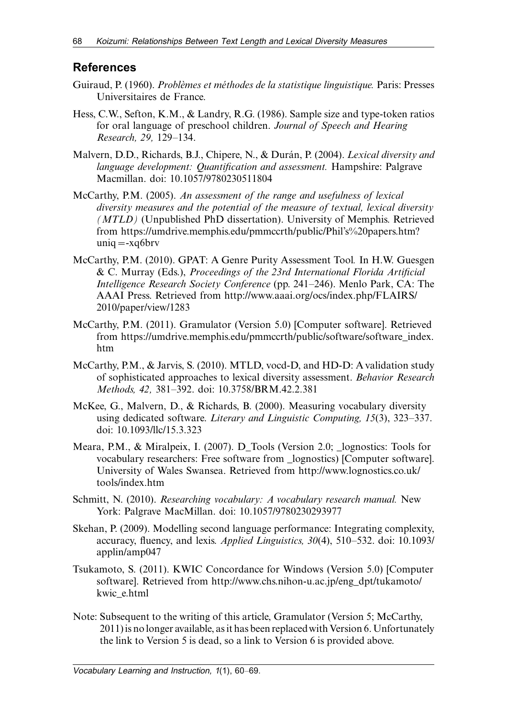# <span id="page-8-0"></span>**References**

- Guiraud, P. (1960). Problèmes et méthodes de la statistique linguistique. Paris: Presses Universitaires de France.
- Hess, C.W., Sefton, K.M., & Landry, R.G. (1986). Sample size and type-token ratios for oral language of preschool children. Journal of Speech and Hearing Research, 29, 129-134.
- Malvern, D.D., Richards, B.J., Chipere, N., & Durán, P. (2004). *Lexical diversity and* language development: Quantification and assessment. Hampshire: Palgrave Macmillan. [doi: 10.1057/9780230511804](http://dx.doi.org/10.1057/9780230511804)
- McCarthy, P.M. (2005). An assessment of the range and usefulness of lexical diversity measures and the potential of the measure of textual, lexical diversity (MTLD) (Unpublished PhD dissertation). University of Memphis. Retrieved from [https://umdrive.memphis.edu/pmmccrth/public/Phil's%20papers.htm?](https://umdrive.memphis.edu/pmmccrth/public/Phil) [uniq](https://umdrive.memphis.edu/pmmccrth/public/Phil) =[-xq6brv](https://umdrive.memphis.edu/pmmccrth/public/Phil)
- McCarthy, P.M. (2010). GPAT: A Genre Purity Assessment Tool. In H.W. Guesgen & C. Murray (Eds.), Proceedings of the 23rd International Florida Artificial Intelligence Research Society Conference (pp. 241–246). Menlo Park, CA: The AAAI Press. Retrieved from [http://www.aaai.org/ocs/index.php/FLAIRS/](http://www.aaai.org/ocs/index.php/FLAIRS/2010/paper/view/1283) [2010/paper/view/1283](http://www.aaai.org/ocs/index.php/FLAIRS/2010/paper/view/1283)
- McCarthy, P.M. (2011). Gramulator (Version 5.0) [Computer software]. Retrieved from [https://umdrive.memphis.edu/pmmccrth/public/software/software\\_index.](https://umdrive.memphis.edu/pmmccrth/public/software/software_index.htm) [htm](https://umdrive.memphis.edu/pmmccrth/public/software/software_index.htm)
- McCarthy, P.M., & Jarvis, S. (2010). MTLD, vocd-D, and HD-D: A validation study of sophisticated approaches to lexical diversity assessment. Behavior Research Methods, 42, 381-392. [doi: 10.3758/BRM.42.2.381](http://dx.doi.org/10.3758/BRM.42.2.381)
- McKee, G., Malvern, D., & Richards, B. (2000). Measuring vocabulary diversity using dedicated software. Literary and Linguistic Computing,  $15(3)$ ,  $323-337$ . [doi: 10.1093/llc/15.3.323](http://dx.doi.org/10.1093/llc/15.3.323)
- Meara, P.M., & Miralpeix, I. (2007). D\_Tools (Version 2.0; lognostics: Tools for vocabulary researchers: Free software from \_lognostics) [Computer software]. University of Wales Swansea. Retrieved from [http://www.lognostics.co.uk/](http://www.lognostics.co.uk/tools/index.htm) [tools/index.htm](http://www.lognostics.co.uk/tools/index.htm)
- Schmitt, N. (2010). Researching vocabulary: A vocabulary research manual. New York: Palgrave MacMillan. [doi: 10.1057/9780230293977](http://dx.doi.org/10.1057/9780230293977)
- Skehan, P. (2009). Modelling second language performance: Integrating complexity, accuracy, fluency, and lexis. *Applied Linguistics*,  $30(4)$ ,  $510-532$ . [doi: 10.1093/](http://dx.doi.org/10.1093/applin/amp047) [applin/amp047](http://dx.doi.org/10.1093/applin/amp047)
- Tsukamoto, S. (2011). KWIC Concordance for Windows (Version 5.0) [Computer software]. Retrieved from [http://www.chs.nihon-u.ac.jp/eng\\_dpt/tukamoto/](http://www.chs.nihon-u.ac.jp/eng_dpt/tukamoto/kwic_e.html) [kwic\\_e.html](http://www.chs.nihon-u.ac.jp/eng_dpt/tukamoto/kwic_e.html)
- Note: Subsequent to the writing of this article, Gramulator (Version 5; McCarthy, 2011) is no longer available, as it has been replacedwith Version 6. Unfortunately the link to Version 5 is dead, so a link to Version 6 is provided above.